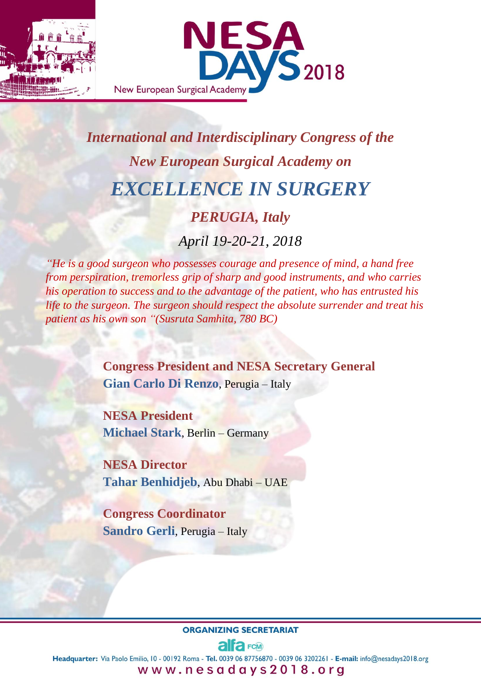

# *International and Interdisciplinary Congress of the New European Surgical Academy on EXCELLENCE IN SURGERY*

# *PERUGIA, Italy*

*April 19-20-21, 2018*

*"He is a good surgeon who possesses courage and presence of mind, a hand free from perspiration, tremorless grip of sharp and good instruments, and who carries his operation to success and to the advantage of the patient, who has entrusted his life to the surgeon. The surgeon should respect the absolute surrender and treat his patient as his own son "(Susruta Samhita, 780 BC)* 

> **Congress President and NESA Secretary General Gian Carlo Di Renzo**, Perugia – Italy

**NESA President Michael Stark**, Berlin – Germany

**NESA Director Tahar Benhidjeb**, Abu Dhabi – UAE

**Congress Coordinator Sandro Gerli**, Perugia – Italy

#### **ORGANIZING SECRETARIAT**

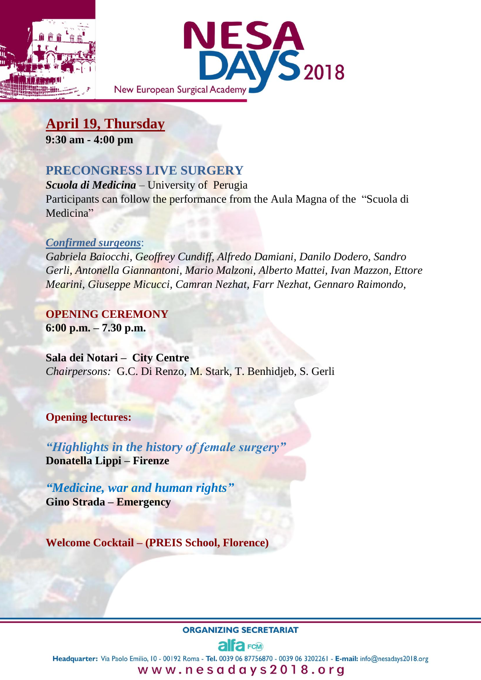



**April 19, Thursday 9:30 am - 4:00 pm**

# **PRECONGRESS LIVE SURGERY**

*Scuola di Medicina* – University of Perugia Participants can follow the performance from the Aula Magna of the "Scuola di Medicina"

#### *Confirmed surgeons*:

*Gabriela Baiocchi, Geoffrey Cundiff, Alfredo Damiani, Danilo Dodero, Sandro Gerli, Antonella Giannantoni, Mario Malzoni, Alberto Mattei, Ivan Mazzon, Ettore Mearini, Giuseppe Micucci, Camran Nezhat, Farr Nezhat, Gennaro Raimondo,*

**OPENING CEREMONY 6:00 p.m. – 7.30 p.m.**

**Sala dei Notari – City Centre** *Chairpersons:* G.C. Di Renzo, M. Stark, T. Benhidjeb, S. Gerli

## **Opening lectures:**

*"Highlights in the history of female surgery"* **Donatella Lippi – Firenze** 

*"Medicine, war and human rights"* **Gino Strada – Emergency** 

**Welcome Cocktail – (PREIS School, Florence)**

#### **ORGANIZING SECRETARIAT**

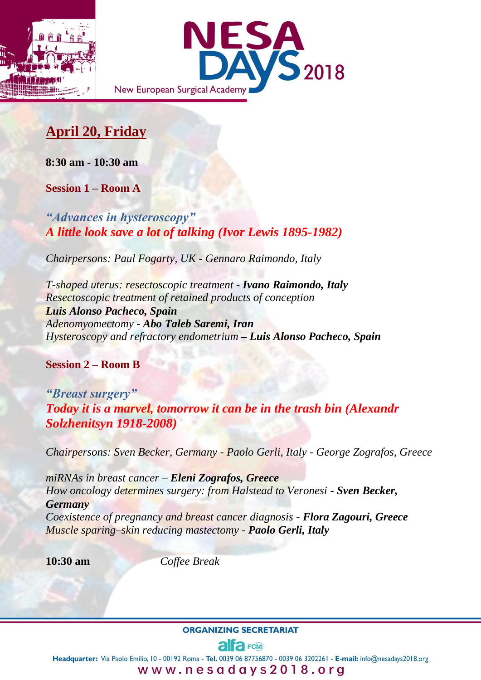



# **April 20, Friday**

**8:30 am - 10:30 am**

**Session 1 – Room A**

*"Advances in hysteroscopy" A little look save a lot of talking (Ivor Lewis 1895-1982)*

*Chairpersons: Paul Fogarty, UK - Gennaro Raimondo, Italy* 

*T-shaped uterus: resectoscopic treatment - Ivano Raimondo, Italy Resectoscopic treatment of retained products of conception Luis Alonso Pacheco, Spain Adenomyomectomy - Abo Taleb Saremi, Iran Hysteroscopy and refractory endometrium – Luis Alonso Pacheco, Spain*

**Session 2 – Room B**

*"Breast surgery" Today it is a marvel, tomorrow it can be in the trash bin (Alexandr Solzhenitsyn 1918-2008)*

*Chairpersons: Sven Becker, Germany - Paolo Gerli, Italy - George Zografos, Greece*

*miRNAs in breast cancer – Eleni Zografos, Greece How oncology determines surgery: from Halstead to Veronesi - Sven Becker, Germany Coexistence of pregnancy and breast cancer diagnosis - Flora Zagouri, Greece Muscle sparing–skin reducing mastectomy - Paolo Gerli, Italy*

**10:30 am** *Coffee Break*

**ORGANIZING SECRETARIAT** 

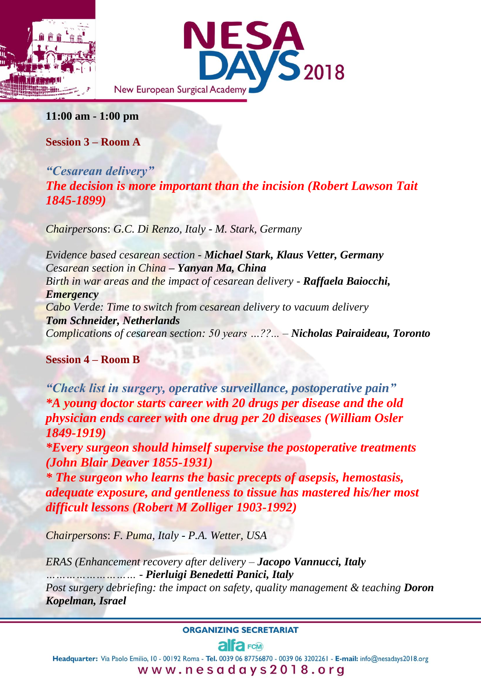



**11:00 am - 1:00 pm**

**Session 3 – Room A**

*"Cesarean delivery" The decision is more important than the incision (Robert Lawson Tait 1845-1899)*

*Chairpersons*: *G.C. Di Renzo, Italy - M. Stark, Germany*

*Evidence based cesarean section - Michael Stark, Klaus Vetter, Germany Cesarean section in China – Yanyan Ma, China Birth in war areas and the impact of cesarean delivery - Raffaela Baiocchi, Emergency Cabo Verde: Time to switch from cesarean delivery to vacuum delivery Tom Schneider, Netherlands Complications of cesarean section: 50 years …??... – Nicholas Pairaideau, Toronto*

## **Session 4 – Room B**

*"Check list in surgery, operative surveillance, postoperative pain" \*A young doctor starts career with 20 drugs per disease and the old physician ends career with one drug per 20 diseases (William Osler 1849-1919)* 

*\*Every surgeon should himself supervise the postoperative treatments (John Blair Deaver 1855-1931)*

*\* The surgeon who learns the basic precepts of asepsis, hemostasis, adequate exposure, and gentleness to tissue has mastered his/her most difficult lessons (Robert M Zolliger 1903-1992)*

*Chairpersons*: *F. Puma, Italy - P.A. Wetter, USA*

*ERAS (Enhancement recovery after delivery – Jacopo Vannucci, Italy ………………………* - *Pierluigi Benedetti Panici, Italy Post surgery debriefing: the impact on safety, quality management & teaching Doron Kopelman, Israel*

**ORGANIZING SECRETARIAT** 

# alfa<sub>FCM</sub>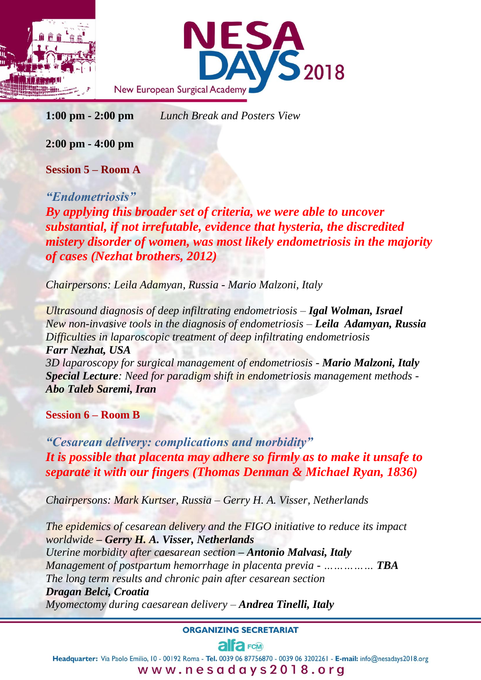



**1:00 pm - 2:00 pm** *Lunch Break and Posters View*

**2:00 pm - 4:00 pm**

**Session 5 – Room A**

*"Endometriosis" By applying this broader set of criteria, we were able to uncover substantial, if not irrefutable, evidence that hysteria, the discredited mistery disorder of women, was most likely endometriosis in the majority of cases (Nezhat brothers, 2012)* 

*Chairpersons: Leila Adamyan, Russia - Mario Malzoni, Italy* 

*Ultrasound diagnosis of deep infiltrating endometriosis* – *Igal Wolman, Israel New non-invasive tools in the diagnosis of endometriosis – Leila Adamyan, Russia Difficulties in laparoscopic treatment of deep infiltrating endometriosis Farr Nezhat, USA 3D laparoscopy for surgical management of endometriosis - Mario Malzoni, Italy Special Lecture: Need for paradigm shift in endometriosis management methods - Abo Taleb Saremi, Iran*

**Session 6 – Room B**

*"Cesarean delivery: complications and morbidity" It is possible that placenta may adhere so firmly as to make it unsafe to separate it with our fingers (Thomas Denman & Michael Ryan, 1836)*

*Chairpersons: Mark Kurtser, Russia – Gerry H. A. Visser, Netherlands*

*The epidemics of cesarean delivery and the FIGO initiative to reduce its impact worldwide – Gerry H. A. Visser, Netherlands Uterine morbidity after caesarean section – Antonio Malvasi, Italy Management of postpartum hemorrhage in placenta previa - …………… TBA The long term results and chronic pain after cesarean section Dragan Belci, Croatia Myomectomy during caesarean delivery – Andrea Tinelli, Italy*

**ORGANIZING SECRETARIAT** 

# alta FCM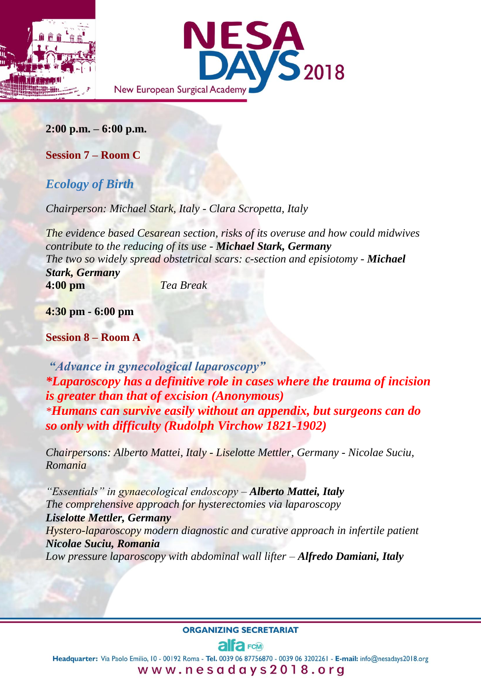



**2:00 p.m. – 6:00 p.m.**

**Session 7 – Room C**

# *Ecology of Birth*

*Chairperson: Michael Stark, Italy - Clara Scropetta, Italy*

*The evidence based Cesarean section, risks of its overuse and how could midwives contribute to the reducing of its use - Michael Stark, Germany The two so widely spread obstetrical scars: c-section and episiotomy - Michael Stark, Germany* **4:00 pm** *Tea Break*

**4:30 pm - 6:00 pm**

**Session 8 – Room A**

*"Advance in gynecological laparoscopy" \*Laparoscopy has a definitive role in cases where the trauma of incision is greater than that of excision (Anonymous) \*Humans can survive easily without an appendix, but surgeons can do so only with difficulty (Rudolph Virchow 1821-1902)* 

*Chairpersons: Alberto Mattei, Italy - Liselotte Mettler, Germany - Nicolae Suciu, Romania*

*"Essentials" in gynaecological endoscopy – Alberto Mattei, Italy The comprehensive approach for hysterectomies via laparoscopy Liselotte Mettler, Germany Hystero-laparoscopy modern diagnostic and curative approach in infertile patient Nicolae Suciu, Romania Low pressure laparoscopy with abdominal wall lifter* – *Alfredo Damiani, Italy*

#### **ORGANIZING SECRETARIAT**

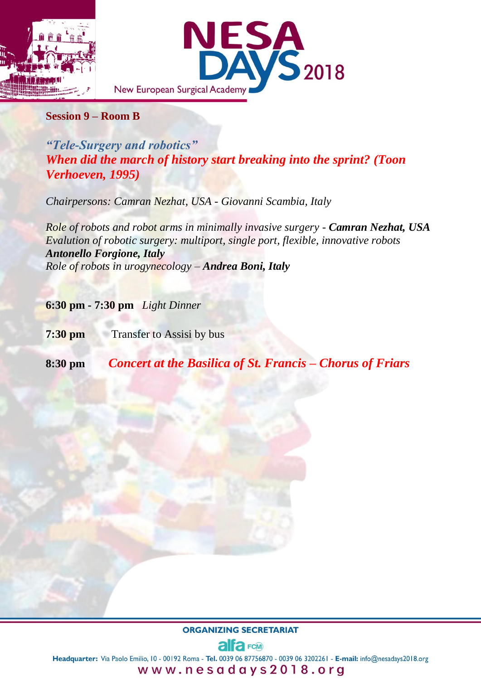

#### **Session 9 – Room B**

*"Tele-Surgery and robotics" When did the march of history start breaking into the sprint? (Toon Verhoeven, 1995)* 

*Chairpersons: Camran Nezhat, USA - Giovanni Scambia, Italy*

*Role of robots and robot arms in minimally invasive surgery - Camran Nezhat, USA Evalution of robotic surgery: multiport, single port, flexible, innovative robots Antonello Forgione, Italy Role of robots in urogynecology – Andrea Boni, Italy*

**6:30 pm - 7:30 pm** *Light Dinner*

**7:30 pm** Transfer to Assisi by bus

**8:30 pm** *Concert at the Basilica of St. Francis – Chorus of Friars*

**ORGANIZING SECRETARIAT** 

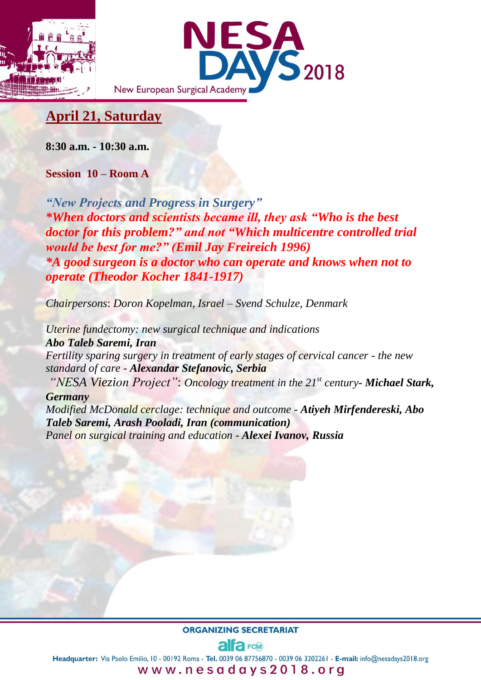



# **April 21, Saturday**

**8:30 a.m. - 10:30 a.m.**

**Session 10 – Room A**

*"New Projects and Progress in Surgery" \*When doctors and scientists became ill, they ask "Who is the best doctor for this problem?" and not "Which multicentre controlled trial would be best for me?" (Emil Jay Freireich 1996) \*A good surgeon is a doctor who can operate and knows when not to operate (Theodor Kocher 1841-1917)* 

*Chairpersons*: *Doron Kopelman, Israel – Svend Schulze, Denmark*

*Uterine fundectomy: new surgical technique and indications Abo Taleb Saremi, Iran Fertility sparing surgery in treatment of early stages of cervical cancer - the new standard of care - Alexandar Stefanovic, Serbia "NESA Viezion Project"*: *Oncology treatment in the 21st century- Michael Stark, Germany Modified McDonald cerclage: technique and outcome - Atiyeh Mirfendereski, Abo Taleb Saremi, Arash Pooladi, Iran (communication) Panel on surgical training and education - Alexei Ivanov, Russia*

**ORGANIZING SECRETARIAT** 

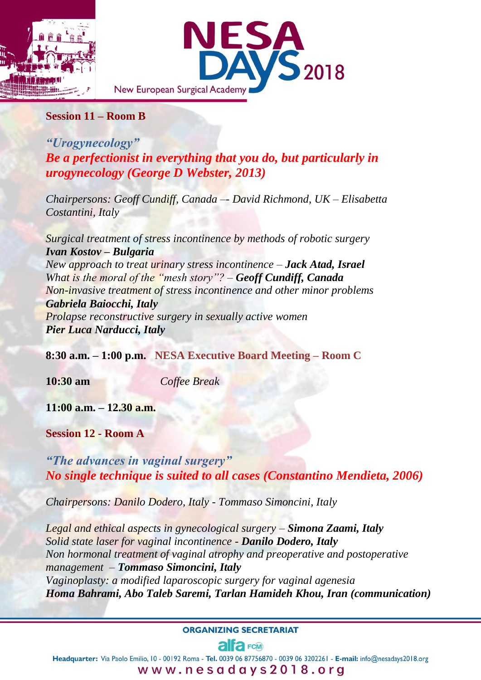



### **Session 11 – Room B**

*"Urogynecology" Be a perfectionist in everything that you do, but particularly in urogynecology (George D Webster, 2013)* 

*Chairpersons: Geoff Cundiff, Canada –- David Richmond, UK – Elisabetta Costantini, Italy*

*Surgical treatment of stress incontinence by methods of robotic surgery Ivan Kostov – Bulgaria New approach to treat urinary stress incontinence – Jack Atad, Israel What is the moral of the "mesh story"?* – *Geoff Cundiff, Canada Non-invasive treatment of stress incontinence and other minor problems Gabriela Baiocchi, Italy Prolapse reconstructive surgery in sexually active women Pier Luca Narducci, Italy*

**8:30 a.m. – 1:00 p.m. NESA Executive Board Meeting – Room C**

**10:30 am** *Coffee Break*

**11:00 a.m. – 12.30 a.m.**

**Session 12 - Room A**

*"The advances in vaginal surgery" No single technique is suited to all cases (Constantino Mendieta, 2006)*

*Chairpersons: Danilo Dodero, Italy - Tommaso Simoncini, Italy*

*Legal and ethical aspects in gynecological surgery – Simona Zaami, Italy Solid state laser for vaginal incontinence - Danilo Dodero, Italy Non hormonal treatment of vaginal atrophy and preoperative and postoperative management – Tommaso Simoncini, Italy Vaginoplasty: a modified laparoscopic surgery for vaginal agenesia Homa Bahrami, Abo Taleb Saremi, Tarlan Hamideh Khou, Iran (communication)*

#### **ORGANIZING SECRETARIAT**

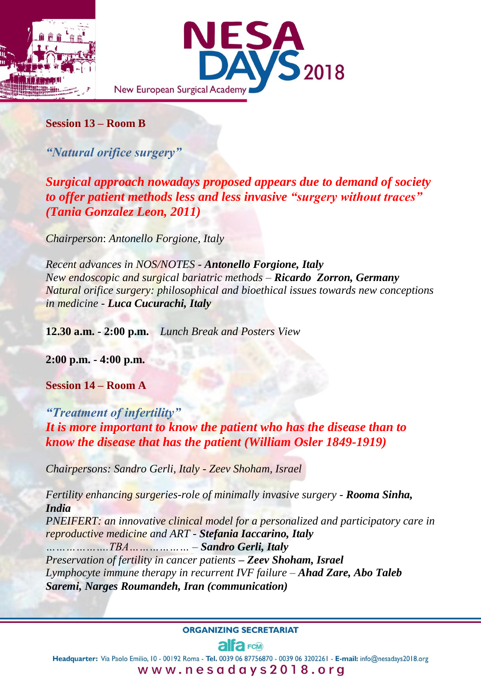



## **Session 13 – Room B**

*"Natural orifice surgery"*

*Surgical approach nowadays proposed appears due to demand of society to offer patient methods less and less invasive "surgery without traces" (Tania Gonzalez Leon, 2011)* 

*Chairperson*: *Antonello Forgione, Italy* 

*Recent advances in NOS/NOTES - Antonello Forgione, Italy New endoscopic and surgical bariatric methods – Ricardo Zorron, Germany Natural orifice surgery: philosophical and bioethical issues towards new conceptions in medicine - Luca Cucurachi, Italy*

**12.30 a.m. - 2:00 p.m.** *Lunch Break and Posters View*

**2:00 p.m. - 4:00 p.m.**

**Session 14 – Room A**

*"Treatment of infertility" It is more important to know the patient who has the disease than to know the disease that has the patient (William Osler 1849-1919)*

*Chairpersons: Sandro Gerli, Italy - Zeev Shoham, Israel* 

*Fertility enhancing surgeries-role of minimally invasive surgery - Rooma Sinha, India PNEIFERT: an innovative clinical model for a personalized and participatory care in reproductive medicine and ART - Stefania Iaccarino, Italy ……………….TBA……………… – Sandro Gerli, Italy Preservation of fertility in cancer patients – Zeev Shoham, Israel Lymphocyte immune therapy in recurrent IVF failure – Ahad Zare, Abo Taleb Saremi, Narges Roumandeh, Iran (communication)*

**ORGANIZING SECRETARIAT** 

# alfa<sub>FCM</sub>